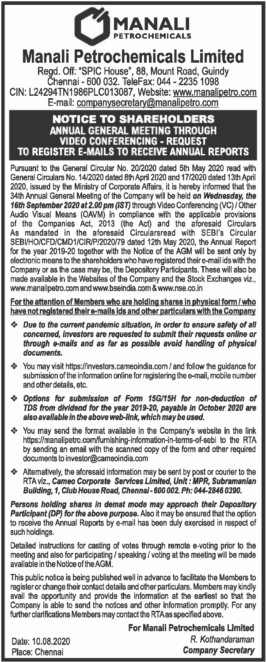

## **Manali Petrochemicals Limited**

Regd. Off: "SPIC House", 88, Mount Road, Guindy Chennai - 600 032. TeleFax: 044 - 2235 1098 CIN: L24294TN1986PLC013087, Website: www.manalipetro.com E-mail: companysecretary@manalipetro.com

## **NOTICE TO SHAREHOLDERS**  ANNUAL GENERAL MEETING THROUGH VIDEO CONFERENCING - REQUEST TO REGISTER E-MAILS TO RECEIVE ANNUAL REPORTS

Pursuant to the General Circular No. 20/2020 dated 5th May 2020 read with General Circulars No. 14/2020 dated 8th April 2020 and 17/2020 dated 13th April 2020, issued by the Ministry of Corporate Affairs, it is hereby informed that the 34th Annual General Meeting of the Company will be held *on Wednesday, the 16th September* 2020 *at* 2.00 *pm {ISTJ* through Video Conferencing (VG) *I* Other Audio Visual Means (OAVM) in compliance with the applicable provisions of the Companies Act, 2013 (the Act) and the aforesaid Circulars As mandated in the aforesaid Circularsread with SEBl's Circular SEBl/HO/CFD/CMD1/CIR/P/2020/79 dated 12th May 2020, the Annual Report for the year 2019-20 together with the Notice of the AGM will be sent only by electronic means to the shareholders who have registered their e-mail ids with the Company or as the case may be, the Depository Participants. These will also be made available in the Websites of the Company and the Stock Exchanges viz., www.manalipetro.com and www.bseindia.com & www.nse.co.in

For the attention of Members who are holding shares in physical form /who have not registered their e-mails ids and other particulars with the Company

- *•:• Due to the* current *pandemic situation, in order to ensure safety of all concerned, investors* are *requested to submit their requests online or through e-mails and* as *far* as *possible avoid handling of physical documents.*
- •:• You may visit https://investors.cameoindia.com *I* and follow the guidance for submission of the information online for registering the e-mail, mobile number and other details, etc.
- *•:• Options for submission of Form 15G/15H for non-deduction of TDS from dividend for the year 2019-20, payable in October* 2020 *are also available in the above web-link, which may be used.*
- •:• You may send the format available in the Company's website in the link https://manalipetro.com/furnishing-information-in-terms-of-sebi to the RTA by sending an email with the scanned copy of the form and other required documents to investor@cameoindia.com
- Alternatively, the aforesaid information may be sent by post or courier to the RTA viz., Cameo *Corporate Services Limited, Unit: MPR, Subramanian Building, 1, Club House Road, Chennai-600* 002. *Ph: 044-2846 0390.*

*Persons holding shares in demat mode may approach their Depository*  Participant (DP) for the above purpose. Also it may be ensured that the option to receive the Annual Reports by e-mail has been duly exercised in respect of such holdings.

Detailed instructions for casting of votes through remote e-voting prior to the meeting and also for participating *I* speaking *I* voting at the meeting will be made available in the Notice of the AGM.

This public notice is being published well in advance to facilitate the Members to register or change their contact details and other particulars. Members may kindly avail the opportunity and provide the information at the earliest so that the Company is able to send the notices and other information promptly. For any further clarifications Members may contact the RTA as specified above.

Date: 10.08.2020 Place: Chennai

For Manali Petrochemicals Limited *R. Kothandaraman Company* Secretary